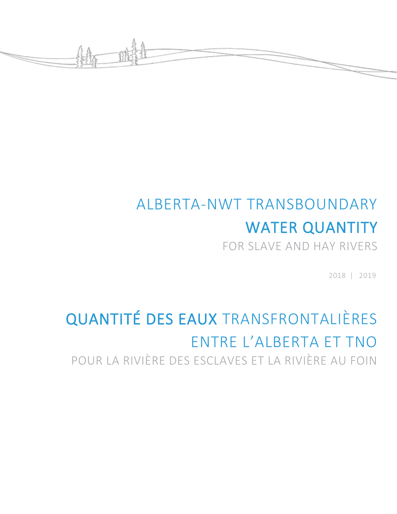

# ALBERTA-NWT TRANSBOUNDARY WATER QUANTITY

FOR SLAVE AND HAY RIVERS

2018 | 2019

## QUANTITÉ DES EAUX TRANSFRONTALIÈRES ENTRE L'ALBERTA ET TNO POUR LA RIVIÈRE DES ESCLAVES ET LA RIVIÈRE AU FOIN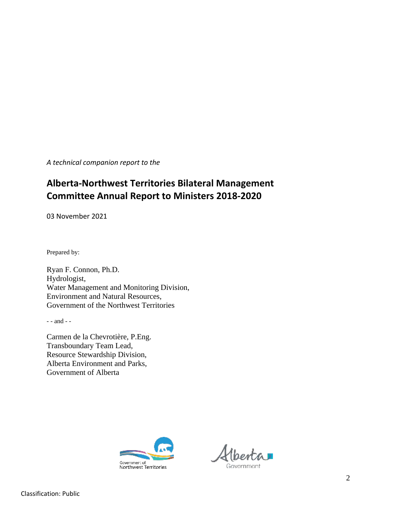*A technical companion report to the*

### **Alberta-Northwest Territories Bilateral Management Committee Annual Report to Ministers 2018-2020**

03 November 2021

Prepared by:

Ryan F. Connon, Ph.D. Hydrologist, Water Management and Monitoring Division, Environment and Natural Resources, Government of the Northwest Territories

- - and - -

Carmen de la Chevrotière, P.Eng. Transboundary Team Lead, Resource Stewardship Division, Alberta Environment and Parks, Government of Alberta



Government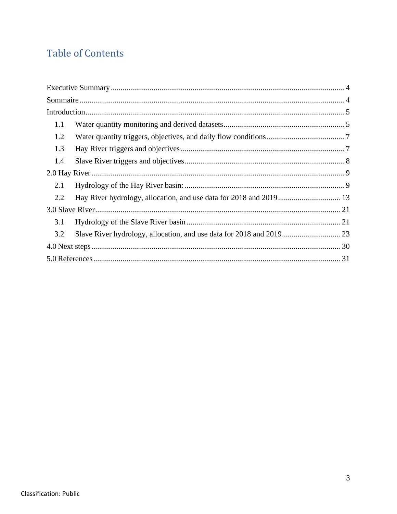## **Table of Contents**

| 1.1 |  |
|-----|--|
| 1.2 |  |
| 1.3 |  |
| 1.4 |  |
|     |  |
| 2.1 |  |
| 2.2 |  |
|     |  |
| 3.1 |  |
| 3.2 |  |
|     |  |
|     |  |
|     |  |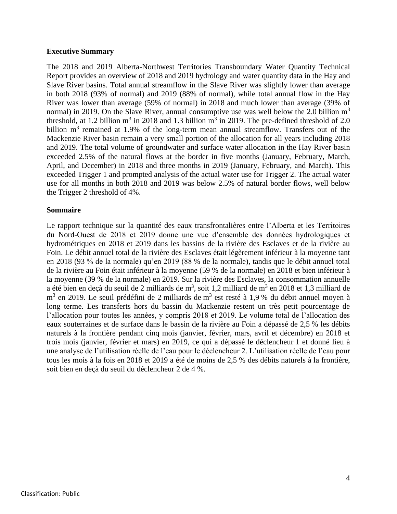#### <span id="page-3-0"></span>**Executive Summary**

The 2018 and 2019 Alberta-Northwest Territories Transboundary Water Quantity Technical Report provides an overview of 2018 and 2019 hydrology and water quantity data in the Hay and Slave River basins. Total annual streamflow in the Slave River was slightly lower than average in both 2018 (93% of normal) and 2019 (88% of normal), while total annual flow in the Hay River was lower than average (59% of normal) in 2018 and much lower than average (39% of normal) in 2019. On the Slave River, annual consumptive use was well below the 2.0 billion  $m<sup>3</sup>$ threshold, at 1.2 billion  $m^3$  in 2018 and 1.3 billion  $m^3$  in 2019. The pre-defined threshold of 2.0 billion  $m<sup>3</sup>$  remained at 1.9% of the long-term mean annual streamflow. Transfers out of the Mackenzie River basin remain a very small portion of the allocation for all years including 2018 and 2019. The total volume of groundwater and surface water allocation in the Hay River basin exceeded 2.5% of the natural flows at the border in five months (January, February, March, April, and December) in 2018 and three months in 2019 (January, February, and March). This exceeded Trigger 1 and prompted analysis of the actual water use for Trigger 2. The actual water use for all months in both 2018 and 2019 was below 2.5% of natural border flows, well below the Trigger 2 threshold of 4%.

#### <span id="page-3-1"></span>**Sommaire**

Le rapport technique sur la quantité des eaux transfrontalières entre l'Alberta et les Territoires du Nord-Ouest de 2018 et 2019 donne une vue d'ensemble des données hydrologiques et hydrométriques en 2018 et 2019 dans les bassins de la rivière des Esclaves et de la rivière au Foin. Le débit annuel total de la rivière des Esclaves était légèrement inférieur à la moyenne tant en 2018 (93 % de la normale) qu'en 2019 (88 % de la normale), tandis que le débit annuel total de la rivière au Foin était inférieur à la moyenne (59 % de la normale) en 2018 et bien inférieur à la moyenne (39 % de la normale) en 2019. Sur la rivière des Esclaves, la consommation annuelle a été bien en deçà du seuil de 2 milliards de m<sup>3</sup>, soit 1,2 milliard de m<sup>3</sup> en 2018 et 1,3 milliard de m<sup>3</sup> en 2019. Le seuil prédéfini de 2 milliards de m<sup>3</sup> est resté à 1,9 % du débit annuel moyen à long terme. Les transferts hors du bassin du Mackenzie restent un très petit pourcentage de l'allocation pour toutes les années, y compris 2018 et 2019. Le volume total de l'allocation des eaux souterraines et de surface dans le bassin de la rivière au Foin a dépassé de 2,5 % les débits naturels à la frontière pendant cinq mois (janvier, février, mars, avril et décembre) en 2018 et trois mois (janvier, février et mars) en 2019, ce qui a dépassé le déclencheur 1 et donné lieu à une analyse de l'utilisation réelle de l'eau pour le déclencheur 2. L'utilisation réelle de l'eau pour tous les mois à la fois en 2018 et 2019 a été de moins de 2,5 % des débits naturels à la frontière, soit bien en deçà du seuil du déclencheur 2 de 4 %.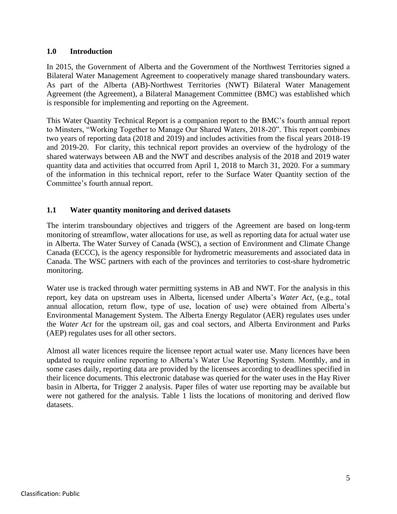#### <span id="page-4-0"></span>**1.0 Introduction**

In 2015, the Government of Alberta and the Government of the Northwest Territories signed a Bilateral Water Management Agreement to cooperatively manage shared transboundary waters. As part of the Alberta (AB)-Northwest Territories (NWT) Bilateral Water Management Agreement (the Agreement), a Bilateral Management Committee (BMC) was established which is responsible for implementing and reporting on the Agreement.

This Water Quantity Technical Report is a companion report to the BMC's fourth annual report to Minsters, "Working Together to Manage Our Shared Waters, 2018-20". This report combines two years of reporting data (2018 and 2019) and includes activities from the fiscal years 2018-19 and 2019-20. For clarity, this technical report provides an overview of the hydrology of the shared waterways between AB and the NWT and describes analysis of the 2018 and 2019 water quantity data and activities that occurred from April 1, 2018 to March 31, 2020. For a summary of the information in this technical report, refer to the Surface Water Quantity section of the Committee's fourth annual report.

#### <span id="page-4-1"></span>**1.1 Water quantity monitoring and derived datasets**

The interim transboundary objectives and triggers of the Agreement are based on long-term monitoring of streamflow, water allocations for use, as well as reporting data for actual water use in Alberta. The Water Survey of Canada (WSC), a section of Environment and Climate Change Canada (ECCC), is the agency responsible for hydrometric measurements and associated data in Canada. The WSC partners with each of the provinces and territories to cost-share hydrometric monitoring.

Water use is tracked through water permitting systems in AB and NWT. For the analysis in this report, key data on upstream uses in Alberta, licensed under Alberta's *Water Act*, (e.g., total annual allocation, return flow, type of use, location of use) were obtained from Alberta's Environmental Management System. The Alberta Energy Regulator (AER) regulates uses under the *Water Act* for the upstream oil, gas and coal sectors, and Alberta Environment and Parks (AEP) regulates uses for all other sectors.

Almost all water licences require the licensee report actual water use. Many licences have been updated to require online reporting to Alberta's Water Use Reporting System. Monthly, and in some cases daily, reporting data are provided by the licensees according to deadlines specified in their licence documents. This electronic database was queried for the water uses in the Hay River basin in Alberta, for Trigger 2 analysis. Paper files of water use reporting may be available but were not gathered for the analysis. [Table 1](#page-5-0) lists the locations of monitoring and derived flow datasets.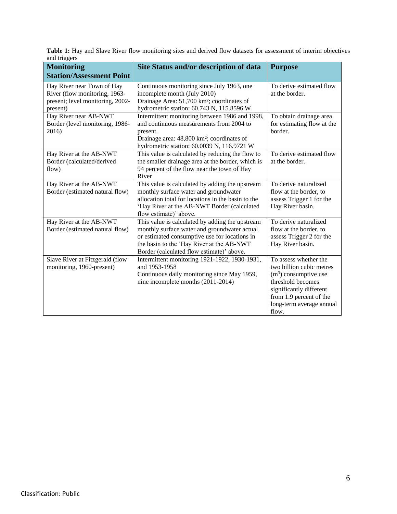<span id="page-5-0"></span>Table 1: Hay and Slave River flow monitoring sites and derived flow datasets for assessment of interim objectives and triggers

| <b>Monitoring</b><br><b>Station/Assessment Point</b>                                                        | Site Status and/or description of data                                                                                                                                                                                                     | <b>Purpose</b>                                                                                                                                                                              |
|-------------------------------------------------------------------------------------------------------------|--------------------------------------------------------------------------------------------------------------------------------------------------------------------------------------------------------------------------------------------|---------------------------------------------------------------------------------------------------------------------------------------------------------------------------------------------|
| Hay River near Town of Hay<br>River (flow monitoring, 1963-<br>present; level monitoring, 2002-<br>present) | Continuous monitoring since July 1963, one<br>incomplete month (July 2010)<br>Drainage Area: 51,700 km <sup>2</sup> ; coordinates of<br>hydrometric station: 60.743 N, 115.8596 W                                                          | To derive estimated flow<br>at the border.                                                                                                                                                  |
| Hay River near AB-NWT<br>Border (level monitoring, 1986-<br>2016)                                           | Intermittent monitoring between 1986 and 1998,<br>and continuous measurements from 2004 to<br>present.<br>Drainage area: 48,800 km <sup>2</sup> ; coordinates of<br>hydrometric station: 60.0039 N, 116.9721 W                             | To obtain drainage area<br>for estimating flow at the<br>border.                                                                                                                            |
| Hay River at the AB-NWT<br>Border (calculated/derived<br>flow)                                              | This value is calculated by reducing the flow to<br>the smaller drainage area at the border, which is<br>94 percent of the flow near the town of Hay<br>River                                                                              | To derive estimated flow<br>at the border.                                                                                                                                                  |
| Hay River at the AB-NWT<br>Border (estimated natural flow)                                                  | This value is calculated by adding the upstream<br>monthly surface water and groundwater<br>allocation total for locations in the basin to the<br>'Hay River at the AB-NWT Border (calculated<br>flow estimate)' above.                    | To derive naturalized<br>flow at the border, to<br>assess Trigger 1 for the<br>Hay River basin.                                                                                             |
| Hay River at the AB-NWT<br>Border (estimated natural flow)                                                  | This value is calculated by adding the upstream<br>monthly surface water and groundwater actual<br>or estimated consumptive use for locations in<br>the basin to the 'Hay River at the AB-NWT<br>Border (calculated flow estimate)' above. | To derive naturalized<br>flow at the border, to<br>assess Trigger 2 for the<br>Hay River basin.                                                                                             |
| Slave River at Fitzgerald (flow<br>monitoring, 1960-present)                                                | Intermittent monitoring 1921-1922, 1930-1931,<br>and 1953-1958<br>Continuous daily monitoring since May 1959,<br>nine incomplete months (2011-2014)                                                                                        | To assess whether the<br>two billion cubic metres<br>$(m3)$ consumptive use<br>threshold becomes<br>significantly different<br>from 1.9 percent of the<br>long-term average annual<br>flow. |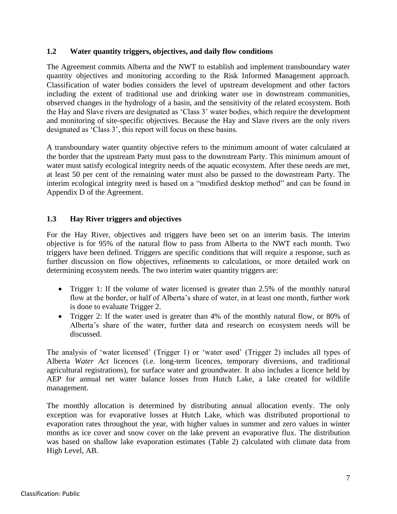#### <span id="page-6-0"></span>**1.2 Water quantity triggers, objectives, and daily flow conditions**

The Agreement commits Alberta and the NWT to establish and implement transboundary water quantity objectives and monitoring according to the Risk Informed Management approach. Classification of water bodies considers the level of upstream development and other factors including the extent of traditional use and drinking water use in downstream communities, observed changes in the hydrology of a basin, and the sensitivity of the related ecosystem. Both the Hay and Slave rivers are designated as 'Class 3' water bodies, which require the development and monitoring of site-specific objectives. Because the Hay and Slave rivers are the only rivers designated as 'Class 3', this report will focus on these basins.

A transboundary water quantity objective refers to the minimum amount of water calculated at the border that the upstream Party must pass to the downstream Party. This minimum amount of water must satisfy ecological integrity needs of the aquatic ecosystem. After these needs are met, at least 50 per cent of the remaining water must also be passed to the downstream Party. The interim ecological integrity need is based on a "modified desktop method" and can be found in Appendix D of the Agreement.

#### <span id="page-6-1"></span>**1.3 Hay River triggers and objectives**

For the Hay River, objectives and triggers have been set on an interim basis. The interim objective is for 95% of the natural flow to pass from Alberta to the NWT each month. Two triggers have been defined. Triggers are specific conditions that will require a response, such as further discussion on flow objectives, refinements to calculations, or more detailed work on determining ecosystem needs. The two interim water quantity triggers are:

- Trigger 1: If the volume of water licensed is greater than 2.5% of the monthly natural flow at the border, or half of Alberta's share of water, in at least one month, further work is done to evaluate Trigger 2.
- Trigger 2: If the water used is greater than 4% of the monthly natural flow, or 80% of Alberta's share of the water, further data and research on ecosystem needs will be discussed.

The analysis of 'water licensed' (Trigger 1) or 'water used' (Trigger 2) includes all types of Alberta *Water Act* licences (i.e. long-term licences, temporary diversions, and traditional agricultural registrations), for surface water and groundwater. It also includes a licence held by AEP for annual net water balance losses from Hutch Lake, a lake created for wildlife management.

The monthly allocation is determined by distributing annual allocation evenly. The only exception was for evaporative losses at Hutch Lake, which was distributed proportional to evaporation rates throughout the year, with higher values in summer and zero values in winter months as ice cover and snow cover on the lake prevent an evaporative flux. The distribution was based on shallow lake evaporation estimates (Table 2) calculated with climate data from High Level, AB.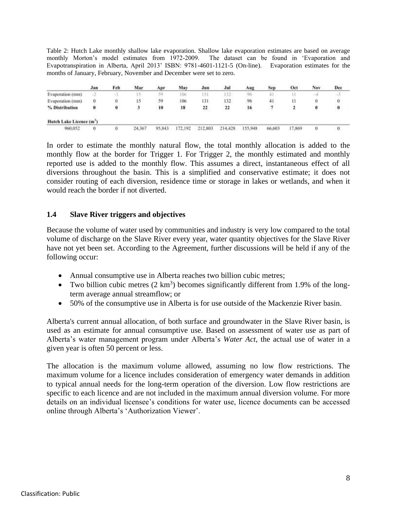Table 2: Hutch Lake monthly shallow lake evaporation. Shallow lake evaporation estimates are based on average monthly Morton's model estimates from 1972-2009. The dataset can be found in 'Evaporation and Evapotranspiration in Alberta, April 2013' ISBN: 9781-4601-1121-5 (On-line). Evaporation estimates for the months of January, February, November and December were set to zero.

|                                      | Jan | Feb    | Mar    | Apr    | May     | Jun     | Jul     | Aug     | Sep    | Oct    | Nov | Dec      |
|--------------------------------------|-----|--------|--------|--------|---------|---------|---------|---------|--------|--------|-----|----------|
| Evaporation (mm)                     |     | $\sim$ |        | 59.    | 106     | 131     | 132     | 96      |        |        |     | -3       |
| Evaporation (mm)                     | 0   | Ю      |        | 59     | 106     | 131     | 132     | 96      | -41    |        | u   | 0.       |
| % Distribution                       |     | 0      |        | 10     | 18      | 22      | 22      | 16      |        |        | o   | $\bf{0}$ |
| Hutch Lake Licence (m <sup>2</sup> ) |     |        |        |        |         |         |         |         |        |        |     |          |
| 960,052                              |     | 0      | 24,367 | 95.843 | 172.192 | 212,803 | 214.428 | 155,948 | 66,603 | 17,869 | o   | 0        |

In order to estimate the monthly natural flow, the total monthly allocation is added to the monthly flow at the border for Trigger 1. For Trigger 2, the monthly estimated and monthly reported use is added to the monthly flow. This assumes a direct, instantaneous effect of all diversions throughout the basin. This is a simplified and conservative estimate; it does not consider routing of each diversion, residence time or storage in lakes or wetlands, and when it would reach the border if not diverted.

#### <span id="page-7-0"></span>**1.4 Slave River triggers and objectives**

Because the volume of water used by communities and industry is very low compared to the total volume of discharge on the Slave River every year, water quantity objectives for the Slave River have not yet been set. According to the Agreement, further discussions will be held if any of the following occur:

- Annual consumptive use in Alberta reaches two billion cubic metres;
- Two billion cubic metres  $(2 \text{ km}^3)$  becomes significantly different from 1.9% of the longterm average annual streamflow; or
- 50% of the consumptive use in Alberta is for use outside of the Mackenzie River basin.

Alberta's current annual allocation, of both surface and groundwater in the Slave River basin, is used as an estimate for annual consumptive use. Based on assessment of water use as part of Alberta's water management program under Alberta's *Water Act*, the actual use of water in a given year is often 50 percent or less.

The allocation is the maximum volume allowed, assuming no low flow restrictions. The maximum volume for a licence includes consideration of emergency water demands in addition to typical annual needs for the long-term operation of the diversion. Low flow restrictions are specific to each licence and are not included in the maximum annual diversion volume. For more details on an individual licensee's conditions for water use, licence documents can be accessed online through Alberta's 'Authorization Viewer'.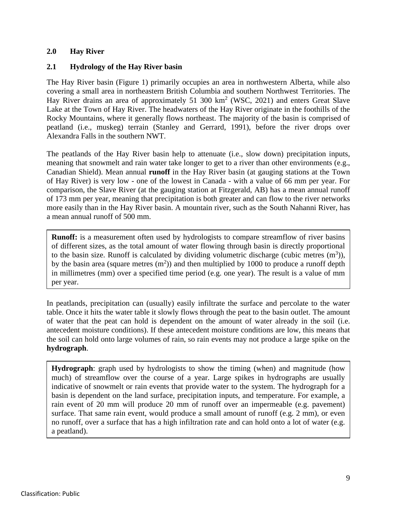#### **2.0 Hay River**

#### <span id="page-8-0"></span>**2.1 Hydrology of the Hay River basin**

The Hay River basin [\(Figure 1\)](#page-10-0) primarily occupies an area in northwestern Alberta, while also covering a small area in northeastern British Columbia and southern Northwest Territories. The Hay River drains an area of approximately 51 300  $km^2$  (WSC, 2021) and enters Great Slave Lake at the Town of Hay River. The headwaters of the Hay River originate in the foothills of the Rocky Mountains, where it generally flows northeast. The majority of the basin is comprised of peatland (i.e., muskeg) terrain (Stanley and Gerrard, 1991), before the river drops over Alexandra Falls in the southern NWT.

The peatlands of the Hay River basin help to attenuate (i.e., slow down) precipitation inputs, meaning that snowmelt and rain water take longer to get to a river than other environments (e.g., Canadian Shield). Mean annual **runoff** in the Hay River basin (at gauging stations at the Town of Hay River) is very low - one of the lowest in Canada - with a value of 66 mm per year. For comparison, the Slave River (at the gauging station at Fitzgerald, AB) has a mean annual runoff of 173 mm per year, meaning that precipitation is both greater and can flow to the river networks more easily than in the Hay River basin. A mountain river, such as the South Nahanni River, has a mean annual runoff of 500 mm.

**Runoff:** is a measurement often used by hydrologists to compare streamflow of river basins of different sizes, as the total amount of water flowing through basin is directly proportional to the basin size. Runoff is calculated by dividing volumetric discharge (cubic metres  $(m^3)$ ), by the basin area (square metres  $(m<sup>2</sup>)$ ) and then multiplied by 1000 to produce a runoff depth in millimetres (mm) over a specified time period (e.g. one year). The result is a value of mm per year.

In peatlands, precipitation can (usually) easily infiltrate the surface and percolate to the water table. Once it hits the water table it slowly flows through the peat to the basin outlet. The amount of water that the peat can hold is dependent on the amount of water already in the soil (i.e. antecedent moisture conditions). If these antecedent moisture conditions are low, this means that the soil can hold onto large volumes of rain, so rain events may not produce a large spike on the **hydrograph**.

**Hydrograph**: graph used by hydrologists to show the timing (when) and magnitude (how much) of streamflow over the course of a year. Large spikes in hydrographs are usually indicative of snowmelt or rain events that provide water to the system. The hydrograph for a basin is dependent on the land surface, precipitation inputs, and temperature. For example, a rain event of 20 mm will produce 20 mm of runoff over an impermeable (e.g. pavement) surface. That same rain event, would produce a small amount of runoff (e.g. 2 mm), or even no runoff, over a surface that has a high infiltration rate and can hold onto a lot of water (e.g. a peatland).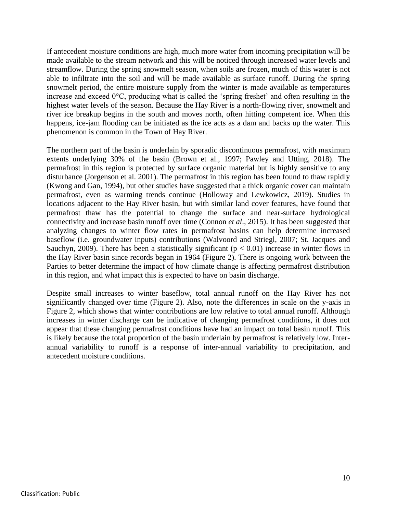If antecedent moisture conditions are high, much more water from incoming precipitation will be made available to the stream network and this will be noticed through increased water levels and streamflow. During the spring snowmelt season, when soils are frozen, much of this water is not able to infiltrate into the soil and will be made available as surface runoff. During the spring snowmelt period, the entire moisture supply from the winter is made available as temperatures increase and exceed 0°C, producing what is called the 'spring freshet' and often resulting in the highest water levels of the season. Because the Hay River is a north-flowing river, snowmelt and river ice breakup begins in the south and moves north, often hitting competent ice. When this happens, ice-jam flooding can be initiated as the ice acts as a dam and backs up the water. This phenomenon is common in the Town of Hay River.

The northern part of the basin is underlain by sporadic discontinuous permafrost, with maximum extents underlying 30% of the basin (Brown et al., 1997; Pawley and Utting, 2018). The permafrost in this region is protected by surface organic material but is highly sensitive to any disturbance (Jorgenson et al. 2001). The permafrost in this region has been found to thaw rapidly (Kwong and Gan, 1994), but other studies have suggested that a thick organic cover can maintain permafrost, even as warming trends continue (Holloway and Lewkowicz, 2019). Studies in locations adjacent to the Hay River basin, but with similar land cover features, have found that permafrost thaw has the potential to change the surface and near-surface hydrological connectivity and increase basin runoff over time (Connon *et al*., 2015). It has been suggested that analyzing changes to winter flow rates in permafrost basins can help determine increased baseflow (i.e. groundwater inputs) contributions (Walvoord and Striegl, 2007; St. Jacques and Sauchyn, 2009). There has been a statistically significant ( $p < 0.01$ ) increase in winter flows in the Hay River basin since records began in 1964 [\(Figure 2\)](#page-11-0). There is ongoing work between the Parties to better determine the impact of how climate change is affecting permafrost distribution in this region, and what impact this is expected to have on basin discharge.

Despite small increases to winter baseflow, total annual runoff on the Hay River has not significantly changed over time [\(Figure 2\)](#page-11-0). Also, note the differences in scale on the y-axis in [Figure 2,](#page-11-0) which shows that winter contributions are low relative to total annual runoff. Although increases in winter discharge can be indicative of changing permafrost conditions, it does not appear that these changing permafrost conditions have had an impact on total basin runoff. This is likely because the total proportion of the basin underlain by permafrost is relatively low. Interannual variability to runoff is a response of inter-annual variability to precipitation, and antecedent moisture conditions.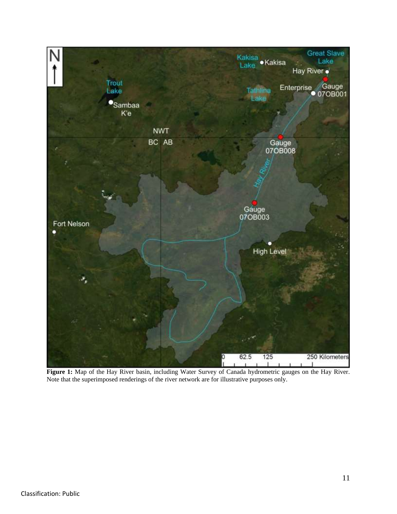<span id="page-10-0"></span>

**Figure 1:** Map of the Hay River basin, including Water Survey of Canada hydrometric gauges on the Hay River. Note that the superimposed renderings of the river network are for illustrative purposes only.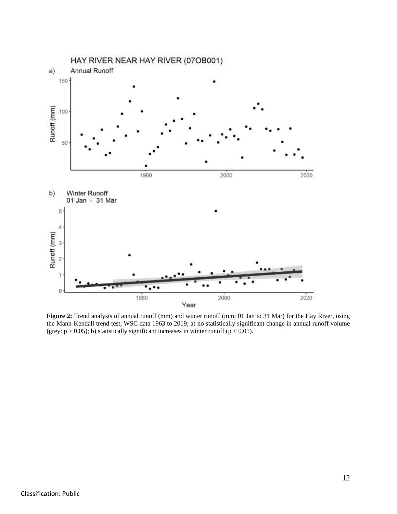

<span id="page-11-0"></span>**Figure 2:** Trend analysis of annual runoff (mm) and winter runoff (mm; 01 Jan to 31 Mar) for the Hay River, using the Mann-Kendall trend test, WSC data 1963 to 2019; a) no statistically significant change in annual runoff volume (grey:  $p > 0.05$ ); b) statistically significant increases in winter runoff ( $p < 0.01$ ).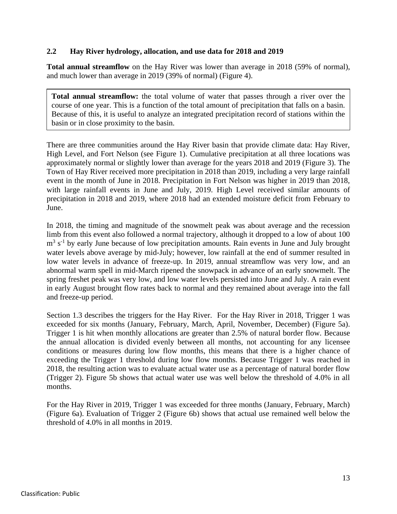#### <span id="page-12-0"></span>**2.2 Hay River hydrology, allocation, and use data for 2018 and 2019**

**Total annual streamflow** on the Hay River was lower than average in 2018 (59% of normal), and much lower than average in 2019 (39% of normal) [\(Figure 4\)](#page-16-0).

**Total annual streamflow:** the total volume of water that passes through a river over the course of one year. This is a function of the total amount of precipitation that falls on a basin. Because of this, it is useful to analyze an integrated precipitation record of stations within the basin or in close proximity to the basin.

There are three communities around the Hay River basin that provide climate data: Hay River, High Level, and Fort Nelson (see [Figure 1\)](#page-10-0). Cumulative precipitation at all three locations was approximately normal or slightly lower than average for the years 2018 and 2019 [\(Figure 3\)](#page-15-0). The Town of Hay River received more precipitation in 2018 than 2019, including a very large rainfall event in the month of June in 2018. Precipitation in Fort Nelson was higher in 2019 than 2018, with large rainfall events in June and July, 2019. High Level received similar amounts of precipitation in 2018 and 2019, where 2018 had an extended moisture deficit from February to June.

In 2018, the timing and magnitude of the snowmelt peak was about average and the recession limb from this event also followed a normal trajectory, although it dropped to a low of about 100  $m<sup>3</sup>$  s<sup>-1</sup> by early June because of low precipitation amounts. Rain events in June and July brought water levels above average by mid-July; however, low rainfall at the end of summer resulted in low water levels in advance of freeze-up. In 2019, annual streamflow was very low, and an abnormal warm spell in mid-March ripened the snowpack in advance of an early snowmelt. The spring freshet peak was very low, and low water levels persisted into June and July. A rain event in early August brought flow rates back to normal and they remained about average into the fall and freeze-up period.

Section 1.3 describes the triggers for the Hay River. For the Hay River in 2018, Trigger 1 was exceeded for six months (January, February, March, April, November, December) [\(Figure 5a](#page-17-0)). Trigger 1 is hit when monthly allocations are greater than 2.5% of natural border flow. Because the annual allocation is divided evenly between all months, not accounting for any licensee conditions or measures during low flow months, this means that there is a higher chance of exceeding the Trigger 1 threshold during low flow months. Because Trigger 1 was reached in 2018, the resulting action was to evaluate actual water use as a percentage of natural border flow (Trigger 2). [Figure 5b](#page-17-0) shows that actual water use was well below the threshold of 4.0% in all months.

For the Hay River in 2019, Trigger 1 was exceeded for three months (January, February, March) [\(Figure 6a](#page-18-0)). Evaluation of Trigger 2 [\(Figure 6b](#page-18-0)) shows that actual use remained well below the threshold of 4.0% in all months in 2019.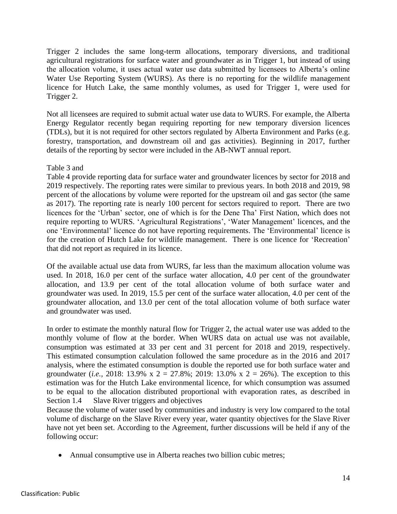Trigger 2 includes the same long-term allocations, temporary diversions, and traditional agricultural registrations for surface water and groundwater as in Trigger 1, but instead of using the allocation volume, it uses actual water use data submitted by licensees to Alberta's online Water Use Reporting System (WURS). As there is no reporting for the wildlife management licence for Hutch Lake, the same monthly volumes, as used for Trigger 1, were used for Trigger 2.

Not all licensees are required to submit actual water use data to WURS. For example, the Alberta Energy Regulator recently began requiring reporting for new temporary diversion licences (TDLs), but it is not required for other sectors regulated by Alberta Environment and Parks (e.g. forestry, transportation, and downstream oil and gas activities). Beginning in 2017, further details of the reporting by sector were included in the AB-NWT annual report.

#### Table 3 and

[Table](#page-19-0) 4 provide reporting data for surface water and groundwater licences by sector for 2018 and 2019 respectively. The reporting rates were similar to previous years. In both 2018 and 2019, 98 percent of the allocations by volume were reported for the upstream oil and gas sector (the same as 2017). The reporting rate is nearly 100 percent for sectors required to report. There are two licences for the 'Urban' sector, one of which is for the Dene Tha' First Nation, which does not require reporting to WURS. 'Agricultural Registrations', 'Water Management' licences, and the one 'Environmental' licence do not have reporting requirements. The 'Environmental' licence is for the creation of Hutch Lake for wildlife management. There is one licence for 'Recreation' that did not report as required in its licence.

Of the available actual use data from WURS, far less than the maximum allocation volume was used. In 2018, 16.0 per cent of the surface water allocation, 4.0 per cent of the groundwater allocation, and 13.9 per cent of the total allocation volume of both surface water and groundwater was used. In 2019, 15.5 per cent of the surface water allocation, 4.0 per cent of the groundwater allocation, and 13.0 per cent of the total allocation volume of both surface water and groundwater was used.

In order to estimate the monthly natural flow for Trigger 2, the actual water use was added to the monthly volume of flow at the border. When WURS data on actual use was not available, consumption was estimated at 33 per cent and 31 percent for 2018 and 2019, respectively. This estimated consumption calculation followed the same procedure as in the 2016 and 2017 analysis, where the estimated consumption is double the reported use for both surface water and groundwater (*i.e.*, 2018: 13.9% x 2 = 27.8%; 2019: 13.0% x 2 = 26%). The exception to this estimation was for the Hutch Lake environmental licence, for which consumption was assumed to be equal to the allocation distributed proportional with evaporation rates, as described in Section 1.4 [Slave River triggers and objectives](#page-7-0)

[Because the volume of water used by communities and industry is very low compared to the total](#page-7-0)  [volume of discharge on the Slave River every year, water quantity objectives for the Slave River](#page-7-0)  [have not yet been set. According to the Agreement, further discussions will be held if any of the](#page-7-0)  [following occur:](#page-7-0)

• Annual consumptive use in Alberta reaches two billion cubic metres;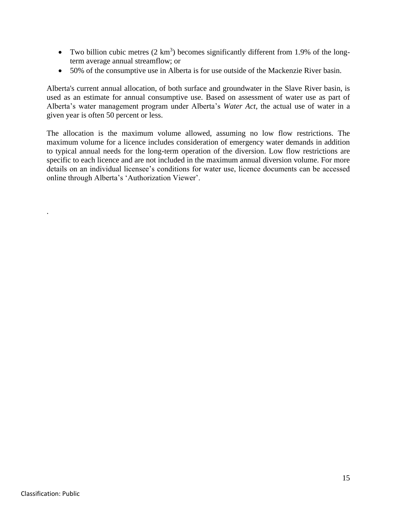- Two billion cubic metres  $(2 \text{ km}^3)$  becomes significantly different from 1.9% of the long[term average annual streamflow; or](#page-7-0)
- [50% of the consumptive use in Alberta is for use outside of the Mackenzie River basin.](#page-7-0)

[Alberta's current annual allocation, of both surface and groundwater in the Slave River basin, is](#page-7-0)  [used as an estimate for annual consumptive use. Based on assessment of water use as part of](#page-7-0)  [Alberta's water management program under Alberta's](#page-7-0) *Water Act*, the actual use of water in a [given year is often 50 percent or less.](#page-7-0) 

[The allocation is the maximum volume allowed, assuming no low flow restrictions. The](#page-7-0)  [maximum volume for a licence includes consideration of emergency water demands in addition](#page-7-0)  [to typical annual needs for the long-term operation of the diversion. Low flow restrictions are](#page-7-0)  [specific to each licence and are not included in the maximum annual diversion volume. For more](#page-7-0)  [details on an individual licensee's conditions for water use, licence documents can be accessed](#page-7-0)  [online through Alberta's 'Authorization Viewer'.](#page-7-0)

.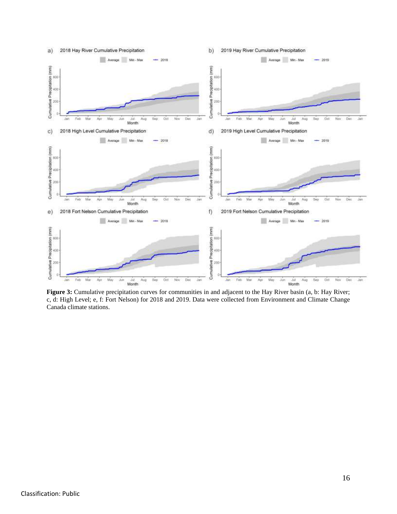

<span id="page-15-0"></span>Figure 3: Cumulative precipitation curves for communities in and adjacent to the Hay River basin (a, b: Hay River; c, d: High Level; e, f: Fort Nelson) for 2018 and 2019. Data were collected from Environment and Climate Change Canada climate stations.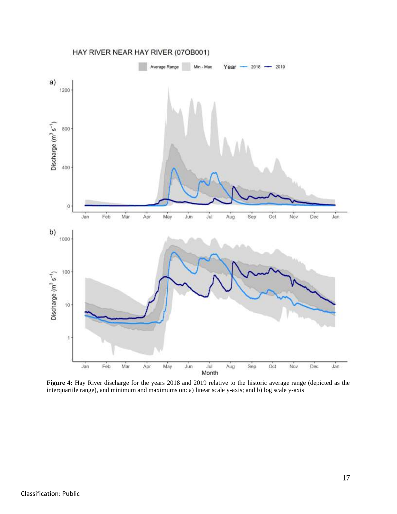

<span id="page-16-0"></span>**Figure 4:** Hay River discharge for the years 2018 and 2019 relative to the historic average range (depicted as the interquartile range), and minimum and maximums on: a) linear scale y-axis; and b) log scale y-axis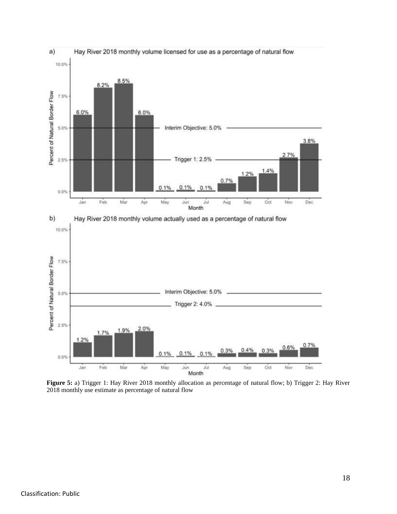

<span id="page-17-0"></span>**Figure 5:** a) Trigger 1: Hay River 2018 monthly allocation as percentage of natural flow; b) Trigger 2: Hay River 2018 monthly use estimate as percentage of natural flow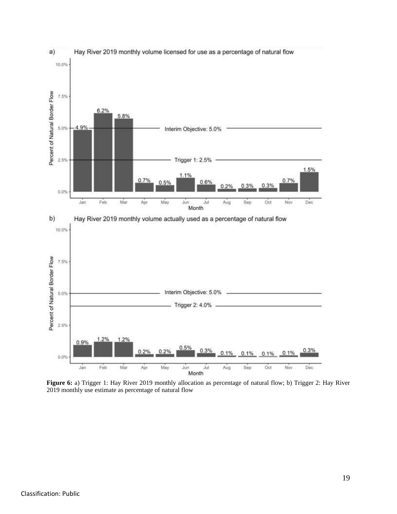

<span id="page-18-0"></span>**Figure 6:** a) Trigger 1: Hay River 2019 monthly allocation as percentage of natural flow; b) Trigger 2: Hay River 2019 monthly use estimate as percentage of natural flow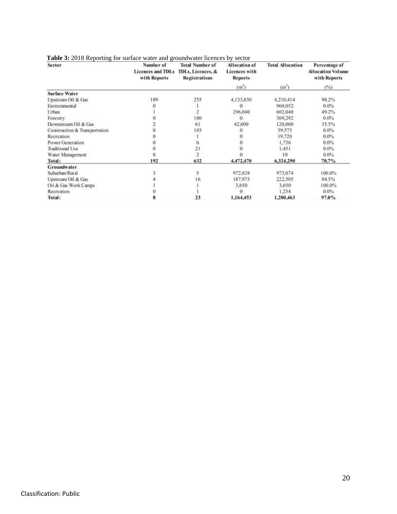| Sector                        | Number of                                | <b>Total Number of</b>                    | <b>Allocation of</b>                   | <b>Total Allocation</b> | Percentage of                            |  |
|-------------------------------|------------------------------------------|-------------------------------------------|----------------------------------------|-------------------------|------------------------------------------|--|
|                               | <b>Licences and TDLs</b><br>with Reports | TDLs, Licences, &<br><b>Registrations</b> | <b>Licences with</b><br><b>Reports</b> |                         | <b>Allocation Volume</b><br>with Reports |  |
|                               |                                          |                                           | (m)                                    | (m')                    | $($ %)                                   |  |
| <b>Surface Water</b>          |                                          |                                           |                                        |                         |                                          |  |
| Upstream Oil & Gas            | 189                                      | 255                                       | 4,133,830                              | 4.210.414               | 98.2%                                    |  |
| Environmental                 |                                          |                                           | 0                                      | 960.052                 | 0.0%                                     |  |
| Urban                         |                                          |                                           | 296,040                                | 602,040                 | 49.2%                                    |  |
| Forestry                      |                                          | 180                                       | $^{o}$                                 | 369,292                 | 0.0%                                     |  |
| Downstream Oil & Gas          |                                          | 61                                        | 42,600                                 | 120,000                 | 35.5%                                    |  |
| Construction & Transportation |                                          | 103                                       | 0                                      | 39,575                  | $0.0\%$                                  |  |
| Recreation                    |                                          |                                           |                                        | 19,720                  | 0.0%                                     |  |
| Power Generation              |                                          |                                           |                                        | 1.736                   | $0.0\%$                                  |  |
| Traditional Use               |                                          | 21                                        |                                        | 1,451                   | 0.0%                                     |  |
| Water Management              |                                          | $\overline{c}$                            |                                        | 10                      | 0.0%                                     |  |
| Total:                        | 192                                      | 632                                       | 4,472,470                              | 6,324,290               | 70.7%                                    |  |
| <b>Groundwater</b>            |                                          |                                           |                                        |                         |                                          |  |
| Suburban/Rural                |                                          |                                           | 972,828                                | 973,074                 | 100.0%                                   |  |
| Upstream Oil & Gas            |                                          | 16                                        | 187,975                                | 222,505                 | 84.5%                                    |  |
| Oil & Gas Work Camps          |                                          |                                           | 3.650                                  | 3,650                   | 100.0%                                   |  |
| Recreation                    |                                          |                                           | 0                                      | 1,234                   | $0.0\%$                                  |  |
| Total:                        |                                          | 23                                        | 1,164,453                              | 1,200,463               | 97.0%                                    |  |

#### <span id="page-19-0"></span>**Table 3:** 2018 Reporting for surface water and groundwater licences by sector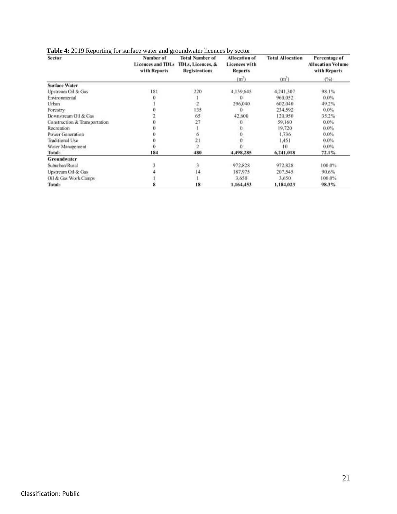| Table 4: 2019 Reporting for surface water and groundwater licences by sector |  |  |  |
|------------------------------------------------------------------------------|--|--|--|
|                                                                              |  |  |  |

| Sector                        | Number of<br><b>Licences and TDLs</b><br>with Reports | <b>Total Number of</b><br>TDLs, Licences, &<br><b>Registrations</b> | Allocation of<br><b>Licences</b> with<br><b>Reports</b> | <b>Total Allocation</b> | Percentage of<br><b>Allocation Volume</b><br>with Reports |
|-------------------------------|-------------------------------------------------------|---------------------------------------------------------------------|---------------------------------------------------------|-------------------------|-----------------------------------------------------------|
|                               |                                                       |                                                                     | (m)                                                     | (m')                    | (%)                                                       |
| <b>Surface Water</b>          |                                                       |                                                                     |                                                         |                         |                                                           |
| Upstream Oil & Gas            | 181                                                   | 220                                                                 | 4,159,645                                               | 4,241,307               | 98.1%                                                     |
| Environmental                 |                                                       |                                                                     |                                                         | 960,052                 | $0.0\%$                                                   |
| Urban                         |                                                       |                                                                     | 296,040                                                 | 602,040                 | 49.2%                                                     |
| Forestry                      |                                                       | 135                                                                 |                                                         | 234,592                 | 0.0%                                                      |
| Downstream Oil & Gas          |                                                       | 65                                                                  | 42,600                                                  | 120,950                 | 35.2%                                                     |
| Construction & Transportation |                                                       | 27                                                                  | 0                                                       | 59,160                  | $0.0\%$                                                   |
| Recreation                    |                                                       |                                                                     | 9                                                       | 19,720                  | $0.0\%$                                                   |
| Power Generation              |                                                       |                                                                     |                                                         | 1.736                   | 0.0%                                                      |
| <b>Traditional Use</b>        |                                                       | 21                                                                  |                                                         | 1,451                   | $0.0\%$                                                   |
| Water Management              |                                                       | ž                                                                   |                                                         | 10                      | 0.0%                                                      |
| Total:                        | 184                                                   | 480                                                                 | 4,498,285                                               | 6,241,018               | 72.1%                                                     |
| <b>Groundwater</b>            |                                                       |                                                                     |                                                         |                         |                                                           |
| Suburban/Rural                |                                                       | 3                                                                   | 972,828                                                 | 972,828                 | 100.0%                                                    |
| Upstream Oil & Gas            |                                                       | 14                                                                  | 187,975                                                 | 207,545                 | 90.6%                                                     |
| Oil & Gas Work Camps          |                                                       |                                                                     | 3,650                                                   | 3,650                   | 100.0%                                                    |
| Total:                        |                                                       | 18                                                                  | 1,164,453                                               | 1,184,023               | 98.3%                                                     |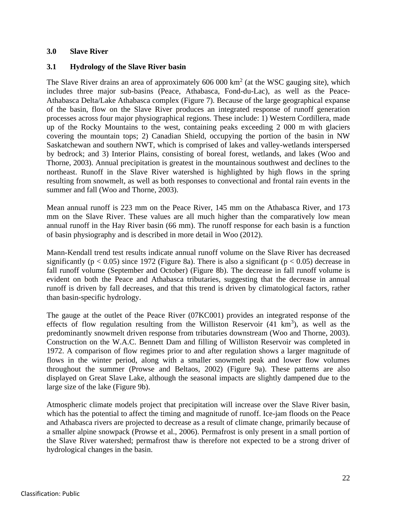#### <span id="page-21-0"></span>**3.0 Slave River**

#### <span id="page-21-1"></span>**3.1 Hydrology of the Slave River basin**

The Slave River drains an area of approximately  $606 000 \text{ km}^2$  (at the WSC gauging site), which includes three major sub-basins (Peace, Athabasca, Fond-du-Lac), as well as the Peace-Athabasca Delta/Lake Athabasca complex [\(Figure 7\)](#page-22-0). Because of the large geographical expanse of the basin, flow on the Slave River produces an integrated response of runoff generation processes across four major physiographical regions. These include: 1) Western Cordillera, made up of the Rocky Mountains to the west, containing peaks exceeding 2 000 m with glaciers covering the mountain tops; 2) Canadian Shield, occupying the portion of the basin in NW Saskatchewan and southern NWT, which is comprised of lakes and valley-wetlands interspersed by bedrock; and 3) Interior Plains, consisting of boreal forest, wetlands, and lakes (Woo and Thorne, 2003). Annual precipitation is greatest in the mountainous southwest and declines to the northeast. Runoff in the Slave River watershed is highlighted by high flows in the spring resulting from snowmelt, as well as both responses to convectional and frontal rain events in the summer and fall (Woo and Thorne, 2003).

Mean annual runoff is 223 mm on the Peace River, 145 mm on the Athabasca River, and 173 mm on the Slave River. These values are all much higher than the comparatively low mean annual runoff in the Hay River basin (66 mm). The runoff response for each basin is a function of basin physiography and is described in more detail in Woo (2012).

Mann-Kendall trend test results indicate annual runoff volume on the Slave River has decreased significantly ( $p < 0.05$ ) since 1972 [\(Figure 8a](#page-24-0)). There is also a significant ( $p < 0.05$ ) decrease in fall runoff volume (September and October) [\(Figure 8b](#page-24-0)). The decrease in fall runoff volume is evident on both the Peace and Athabasca tributaries, suggesting that the decrease in annual runoff is driven by fall decreases, and that this trend is driven by climatological factors, rather than basin-specific hydrology.

The gauge at the outlet of the Peace River (07KC001) provides an integrated response of the effects of flow regulation resulting from the Williston Reservoir  $(41 \text{ km}^3)$ , as well as the predominantly snowmelt driven response from tributaries downstream (Woo and Thorne, 2003). Construction on the W.A.C. Bennett Dam and filling of Williston Reservoir was completed in 1972. A comparison of flow regimes prior to and after regulation shows a larger magnitude of flows in the winter period, along with a smaller snowmelt peak and lower flow volumes throughout the summer (Prowse and Beltaos, 2002) [\(Figure 9a](#page-25-0)). These patterns are also displayed on Great Slave Lake, although the seasonal impacts are slightly dampened due to the large size of the lake [\(Figure 9b](#page-25-0)).

Atmospheric climate models project that precipitation will increase over the Slave River basin, which has the potential to affect the timing and magnitude of runoff. Ice-jam floods on the Peace and Athabasca rivers are projected to decrease as a result of climate change, primarily because of a smaller alpine snowpack (Prowse et al., 2006). Permafrost is only present in a small portion of the Slave River watershed; permafrost thaw is therefore not expected to be a strong driver of hydrological changes in the basin.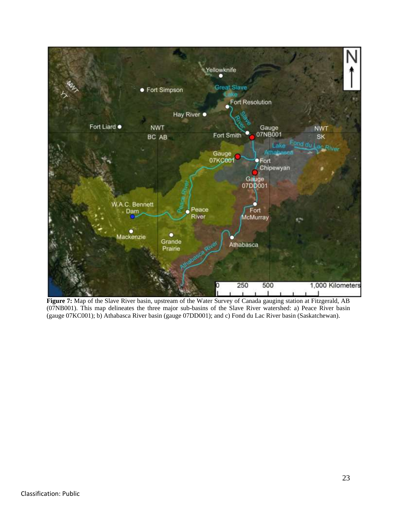<span id="page-22-0"></span>

**Figure 7:** Map of the Slave River basin, upstream of the Water Survey of Canada gauging station at Fitzgerald, AB (07NB001). This map delineates the three major sub-basins of the Slave River watershed: a) Peace River basin (gauge 07KC001); b) Athabasca River basin (gauge 07DD001); and c) Fond du Lac River basin (Saskatchewan).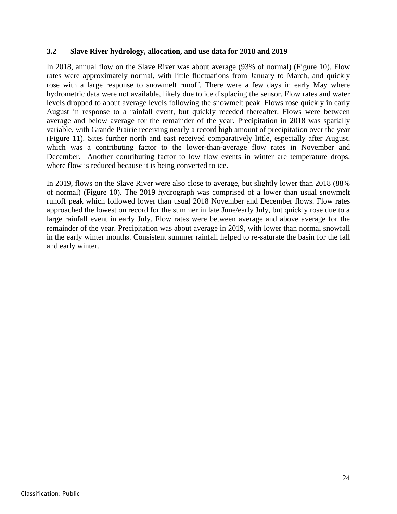#### <span id="page-23-0"></span>**3.2 Slave River hydrology, allocation, and use data for 2018 and 2019**

In 2018, annual flow on the Slave River was about average (93% of normal) [\(Figure 10\)](#page-26-0). Flow rates were approximately normal, with little fluctuations from January to March, and quickly rose with a large response to snowmelt runoff. There were a few days in early May where hydrometric data were not available, likely due to ice displacing the sensor. Flow rates and water levels dropped to about average levels following the snowmelt peak. Flows rose quickly in early August in response to a rainfall event, but quickly receded thereafter. Flows were between average and below average for the remainder of the year. Precipitation in 2018 was spatially variable, with Grande Prairie receiving nearly a record high amount of precipitation over the year (Figure 11). Sites further north and east received comparatively little, especially after August, which was a contributing factor to the lower-than-average flow rates in November and December. Another contributing factor to low flow events in winter are temperature drops, where flow is reduced because it is being converted to ice.

In 2019, flows on the Slave River were also close to average, but slightly lower than 2018 (88% of normal) [\(Figure 10\)](#page-26-0). The 2019 hydrograph was comprised of a lower than usual snowmelt runoff peak which followed lower than usual 2018 November and December flows. Flow rates approached the lowest on record for the summer in late June/early July, but quickly rose due to a large rainfall event in early July. Flow rates were between average and above average for the remainder of the year. Precipitation was about average in 2019, with lower than normal snowfall in the early winter months. Consistent summer rainfall helped to re-saturate the basin for the fall and early winter.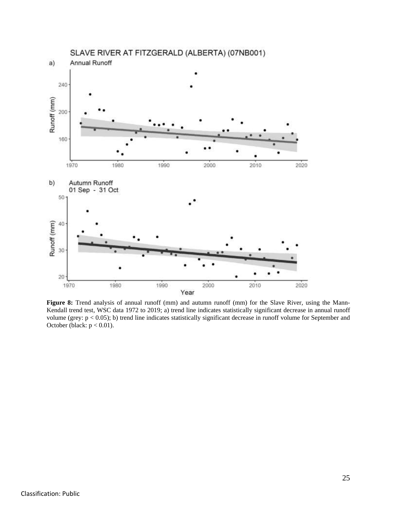

<span id="page-24-0"></span>Figure 8: Trend analysis of annual runoff (mm) and autumn runoff (mm) for the Slave River, using the Mann-Kendall trend test, WSC data 1972 to 2019; a) trend line indicates statistically significant decrease in annual runoff volume (grey: p < 0.05); b) trend line indicates statistically significant decrease in runoff volume for September and October (black:  $p < 0.01$ ).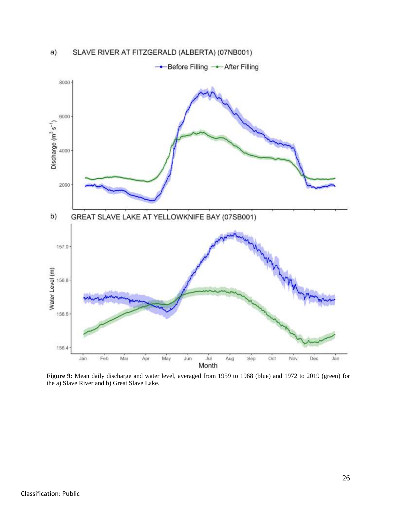



<span id="page-25-0"></span>**Figure 9:** Mean daily discharge and water level, averaged from 1959 to 1968 (blue) and 1972 to 2019 (green) for the a) Slave River and b) Great Slave Lake.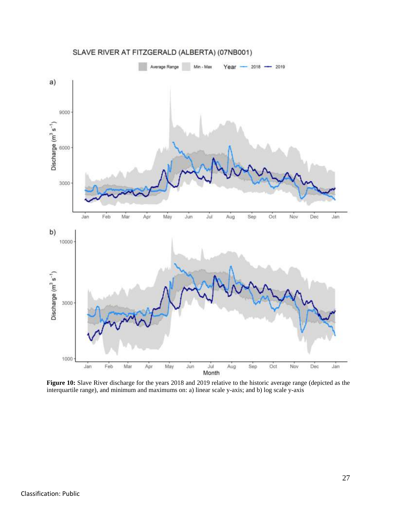

<span id="page-26-0"></span>**Figure 10:** Slave River discharge for the years 2018 and 2019 relative to the historic average range (depicted as the interquartile range), and minimum and maximums on: a) linear scale y-axis; and b) log scale y-axis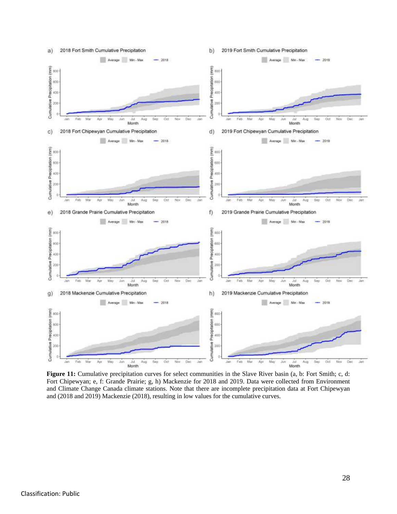

**Figure 11:** Cumulative precipitation curves for select communities in the Slave River basin (a, b: Fort Smith; c, d: Fort Chipewyan; e, f: Grande Prairie; g, h) Mackenzie for 2018 and 2019. Data were collected from Environment and Climate Change Canada climate stations. Note that there are incomplete precipitation data at Fort Chipewyan and (2018 and 2019) Mackenzie (2018), resulting in low values for the cumulative curves.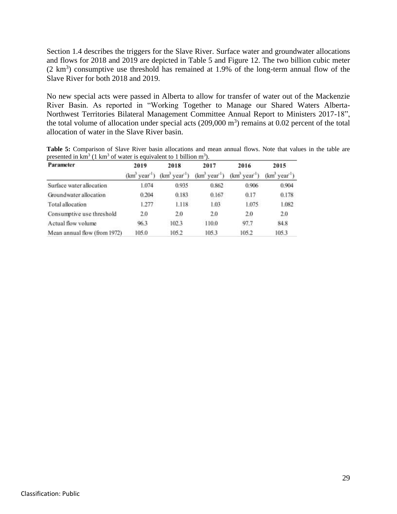Section 1.4 describes the triggers for the Slave River. Surface water and groundwater allocations and flows for 2018 and 2019 are depicted in Table 5 and Figure 12. The two billion cubic meter  $(2 \text{ km}^3)$  consumptive use threshold has remained at 1.9% of the long-term annual flow of the Slave River for both 2018 and 2019.

No new special acts were passed in Alberta to allow for transfer of water out of the Mackenzie River Basin. As reported in "Working Together to Manage our Shared Waters Alberta-Northwest Territories Bilateral Management Committee Annual Report to Ministers 2017-18", the total volume of allocation under special acts  $(209,000 \text{ m}^3)$  remains at 0.02 percent of the total allocation of water in the Slave River basin.

| Parameter                    | 2019            | 2018         | 2017                    | 2016                    | 2015           |  |
|------------------------------|-----------------|--------------|-------------------------|-------------------------|----------------|--|
|                              | $(km^3 year^1)$ | (km' year'') | $(km^3 \text{ year}^1)$ | $(km^3 \text{ year}^1)$ | $(km3 year-1)$ |  |
| Surface water allocation     | 1.074           | 0.935        | 0.862                   | 0.906                   | 0.904          |  |
| Groundwater allocation       | 0.204           | 0.183        | 0.167                   | 0.17                    | 0.178          |  |
| Total allocation             | 1.277           | 1.118        | 1.03                    | 1.075                   | 1.082          |  |
| Consumptive use threshold    | 2.0             | 2.0          | 2.0                     | 2.0                     | 2.0            |  |
| Actual flow volume           | 96.3            | 102.3        | 110.0                   | 97.7                    | 84.8           |  |
| Mean annual flow (from 1972) | 105.0           | 105.2        | 105.3                   | 105.2                   | 105.3          |  |

**Table 5:** Comparison of Slave River basin allocations and mean annual flows. Note that values in the table are presented in  $km^3$  (1 km<sup>3</sup> of water is equivalent to 1 billion m<sup>3</sup>).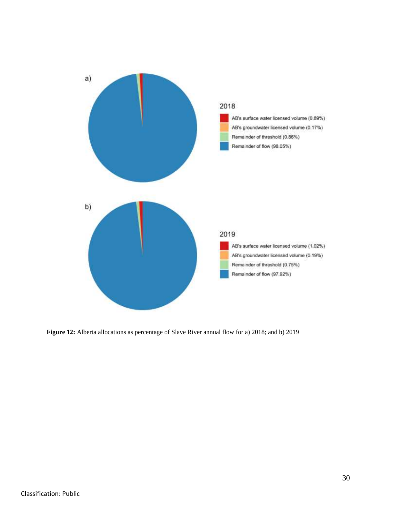

**Figure 12:** Alberta allocations as percentage of Slave River annual flow for a) 2018; and b) 2019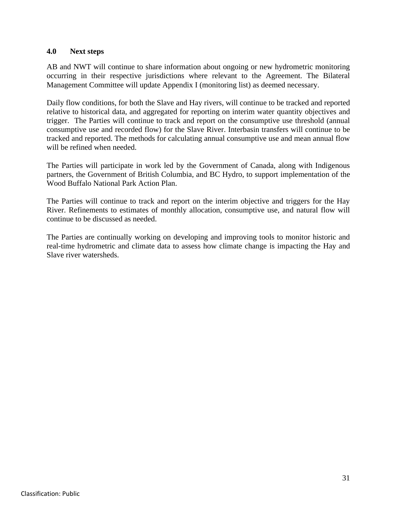#### <span id="page-30-0"></span>**4.0 Next steps**

AB and NWT will continue to share information about ongoing or new hydrometric monitoring occurring in their respective jurisdictions where relevant to the Agreement. The Bilateral Management Committee will update Appendix I (monitoring list) as deemed necessary.

Daily flow conditions, for both the Slave and Hay rivers, will continue to be tracked and reported relative to historical data, and aggregated for reporting on interim water quantity objectives and trigger. The Parties will continue to track and report on the consumptive use threshold (annual consumptive use and recorded flow) for the Slave River. Interbasin transfers will continue to be tracked and reported. The methods for calculating annual consumptive use and mean annual flow will be refined when needed.

The Parties will participate in work led by the Government of Canada, along with Indigenous partners, the Government of British Columbia, and BC Hydro, to support implementation of the Wood Buffalo National Park Action Plan.

The Parties will continue to track and report on the interim objective and triggers for the Hay River. Refinements to estimates of monthly allocation, consumptive use, and natural flow will continue to be discussed as needed.

The Parties are continually working on developing and improving tools to monitor historic and real-time hydrometric and climate data to assess how climate change is impacting the Hay and Slave river watersheds.